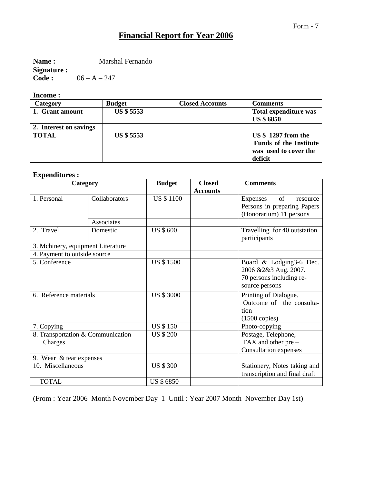## **Financial Report for Year 2006**

**Name :** Marshal Fernando

**Signature :** 06 – A – 247

## **Income :**

| Category               | <b>Budget</b>     | <b>Closed Accounts</b> | <b>Comments</b>                                                                                 |
|------------------------|-------------------|------------------------|-------------------------------------------------------------------------------------------------|
| 1. Grant amount        | <b>US \$ 5553</b> |                        | <b>Total expenditure was</b><br><b>US \$ 6850</b>                                               |
| 2. Interest on savings |                   |                        |                                                                                                 |
| <b>TOTAL</b>           | <b>US \$ 5553</b> |                        | <b>US \$ 1297 from the</b><br><b>Funds of the Institute</b><br>was used to cover the<br>deficit |

## **Expenditures :**

| Category                                     |               | <b>Budget</b><br><b>Closed</b> |                 | <b>Comments</b>                                                                                 |  |
|----------------------------------------------|---------------|--------------------------------|-----------------|-------------------------------------------------------------------------------------------------|--|
|                                              |               |                                | <b>Accounts</b> |                                                                                                 |  |
| 1. Personal                                  | Collaborators | <b>US \$1100</b>               |                 | of<br>Expenses<br>resource<br>Persons in preparing Papers<br>(Honorarium) 11 persons            |  |
|                                              | Associates    |                                |                 |                                                                                                 |  |
| 2. Travel                                    | Domestic      | <b>US \$ 600</b>               |                 | Travelling for 40 outstation<br>participants                                                    |  |
| 3. Mchinery, equipment Literature            |               |                                |                 |                                                                                                 |  |
| 4. Payment to outside source                 |               |                                |                 |                                                                                                 |  |
| 5. Conference                                |               | <b>US \$1500</b>               |                 | Board & Lodging3-6 Dec.<br>2006 & 2& 3 Aug. 2007.<br>70 persons including re-<br>source persons |  |
| 6. Reference materials                       |               | <b>US \$ 3000</b>              |                 | Printing of Dialogue.<br>Outcome of the consulta-<br>tion<br>$(1500 \text{ copies})$            |  |
| 7. Copying                                   |               | <b>US \$150</b>                |                 | Photo-copying                                                                                   |  |
| 8. Transportation & Communication<br>Charges |               | <b>US \$ 200</b>               |                 | Postage, Telephone,<br>FAX and other pre $-$<br><b>Consultation expenses</b>                    |  |
| 9. Wear & tear expenses                      |               |                                |                 |                                                                                                 |  |
| 10. Miscellaneous                            |               | <b>US \$ 300</b>               |                 | Stationery, Notes taking and<br>transcription and final draft                                   |  |
| <b>TOTAL</b>                                 |               | <b>US \$ 6850</b>              |                 |                                                                                                 |  |

(From : Year 2006 Month November Day 1 Until : Year 2007 Month November Day 1st)